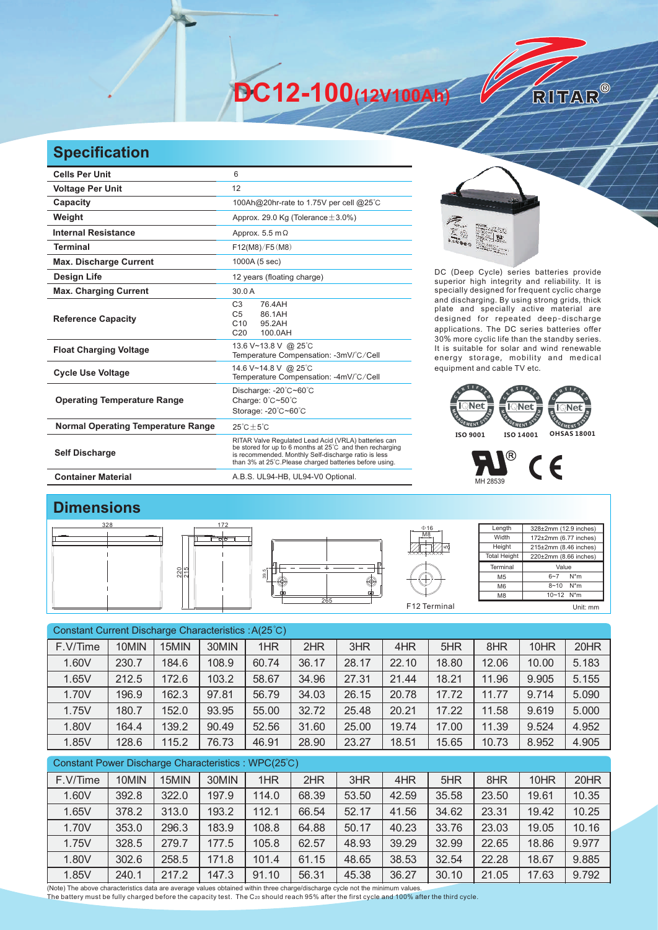**DC12-100(12V100Ah)** 

## **Specification**

| <b>Cells Per Unit</b>                     | 6                                                                                                                                                                                                                                   |  |  |  |  |  |
|-------------------------------------------|-------------------------------------------------------------------------------------------------------------------------------------------------------------------------------------------------------------------------------------|--|--|--|--|--|
| <b>Voltage Per Unit</b>                   | 12                                                                                                                                                                                                                                  |  |  |  |  |  |
| Capacity                                  | 100Ah@20hr-rate to 1.75V per cell @25°C                                                                                                                                                                                             |  |  |  |  |  |
| Weight                                    | Approx. 29.0 Kg (Tolerance $\pm$ 3.0%)                                                                                                                                                                                              |  |  |  |  |  |
| <b>Internal Resistance</b>                | Approx. $5.5 \text{ m}\Omega$                                                                                                                                                                                                       |  |  |  |  |  |
| <b>Terminal</b>                           | F12(M8)/F5(M8)                                                                                                                                                                                                                      |  |  |  |  |  |
| <b>Max. Discharge Current</b>             | 1000A (5 sec)                                                                                                                                                                                                                       |  |  |  |  |  |
| <b>Design Life</b>                        | 12 years (floating charge)                                                                                                                                                                                                          |  |  |  |  |  |
| <b>Max. Charging Current</b>              | 30.0A                                                                                                                                                                                                                               |  |  |  |  |  |
| <b>Reference Capacity</b>                 | 76.4AH<br>C <sub>3</sub><br>86.1AH<br>C <sub>5</sub><br>C10<br>95.2AH<br>C <sub>20</sub><br>100.0AH                                                                                                                                 |  |  |  |  |  |
| <b>Float Charging Voltage</b>             | 13.6 V~13.8 V @ 25°C<br>Temperature Compensation: -3mV/°C/Cell                                                                                                                                                                      |  |  |  |  |  |
| <b>Cycle Use Voltage</b>                  | 14.6 V~14.8 V @ 25°C<br>Temperature Compensation: -4mV/°C/Cell                                                                                                                                                                      |  |  |  |  |  |
| <b>Operating Temperature Range</b>        | Discharge: $-20^{\circ}$ C $-60^{\circ}$ C<br>Charge: $0^{\circ}$ C~50 $^{\circ}$ C<br>Storage: -20°C~60°C                                                                                                                          |  |  |  |  |  |
| <b>Normal Operating Temperature Range</b> | $25^{\circ}$ C + 5 $^{\circ}$ C                                                                                                                                                                                                     |  |  |  |  |  |
| <b>Self Discharge</b>                     | RITAR Valve Regulated Lead Acid (VRLA) batteries can<br>be stored for up to 6 months at 25°C and then recharging<br>is recommended. Monthly Self-discharge ratio is less<br>than 3% at 25°C. Please charged batteries before using. |  |  |  |  |  |
| <b>Container Material</b>                 | A.B.S. UL94-HB, UL94-V0 Optional.                                                                                                                                                                                                   |  |  |  |  |  |



RITAR®

DC (Deep Cycle) series batteries provide superior high integrity and reliability. It is specially designed for frequent cyclic charge and discharging. By using strong grids, thick plate and specially active material are designed for repeated deep-discharge applications. The DC series batteries offer 30% more cyclic life than the standby series. It is suitable for solar and wind renewable energy storage, mobility and medical equipment and cable TV etc.



## ®  $C<sub>6</sub>$ MH 28539

## **Dimensions**



| Constant Current Discharge Characteristics: A(25°C) |       |       |       |       |       |       |       |       |       |       |       |
|-----------------------------------------------------|-------|-------|-------|-------|-------|-------|-------|-------|-------|-------|-------|
| F.V/Time                                            | 10MIN | 15MIN | 30MIN | 1HR   | 2HR   | 3HR   | 4HR   | 5HR   | 8HR   | 10HR  | 20HR  |
| 1.60V                                               | 230.7 | 184.6 | 108.9 | 60.74 | 36.17 | 28.17 | 22.10 | 18.80 | 12.06 | 10.00 | 5.183 |
| 1.65V                                               | 212.5 | 172.6 | 103.2 | 58.67 | 34.96 | 27.31 | 21.44 | 18.21 | 11.96 | 9.905 | 5.155 |
| 1.70V                                               | 196.9 | 162.3 | 97.81 | 56.79 | 34.03 | 26.15 | 20.78 | 17.72 | 11.77 | 9.714 | 5.090 |
| 1.75V                                               | 180.7 | 152.0 | 93.95 | 55.00 | 32.72 | 25.48 | 20.21 | 17.22 | 11.58 | 9.619 | 5.000 |
| 1.80V                                               | 164.4 | 139.2 | 90.49 | 52.56 | 31.60 | 25.00 | 19.74 | 17.00 | 11.39 | 9.524 | 4.952 |
| 1.85V                                               | 128.6 | 115.2 | 76.73 | 46.91 | 28.90 | 23.27 | 18.51 | 15.65 | 10.73 | 8.952 | 4.905 |
| Constant Power Discharge Characteristics: WPC(25°C) |       |       |       |       |       |       |       |       |       |       |       |
|                                                     |       |       |       |       |       |       |       |       |       |       |       |

| F.V/Time | 10MIN | 15MIN | 30MIN | 1HR   | 2HR   | 3HR   | 4HR   | 5HR   | 8HR   | 10HR  | 20HR  |
|----------|-------|-------|-------|-------|-------|-------|-------|-------|-------|-------|-------|
| 1.60V    | 392.8 | 322.0 | 197.9 | 114.0 | 68.39 | 53.50 | 42.59 | 35.58 | 23.50 | 19.61 | 10.35 |
| 1.65V    | 378.2 | 313.0 | 193.2 | 112.1 | 66.54 | 52.17 | 41.56 | 34.62 | 23.31 | 19.42 | 10.25 |
| 1.70V    | 353.0 | 296.3 | 183.9 | 108.8 | 64.88 | 50.17 | 40.23 | 33.76 | 23.03 | 19.05 | 10.16 |
| 1.75V    | 328.5 | 279.7 | 177.5 | 105.8 | 62.57 | 48.93 | 39.29 | 32.99 | 22.65 | 18.86 | 9.977 |
| 1.80V    | 302.6 | 258.5 | 171.8 | 101.4 | 61.15 | 48.65 | 38.53 | 32.54 | 22.28 | 18.67 | 9.885 |
| 1.85V    | 240.1 | 217.2 | 147.3 | 91.10 | 56.31 | 45.38 | 36.27 | 30.10 | 21.05 | 17.63 | 9.792 |

(Note) The above characteristics data are average values obtained within three charge/discharge cycle not the minimum values.<br>The battery must be fully charged before the capacity test. The C20 should reach 95% after the